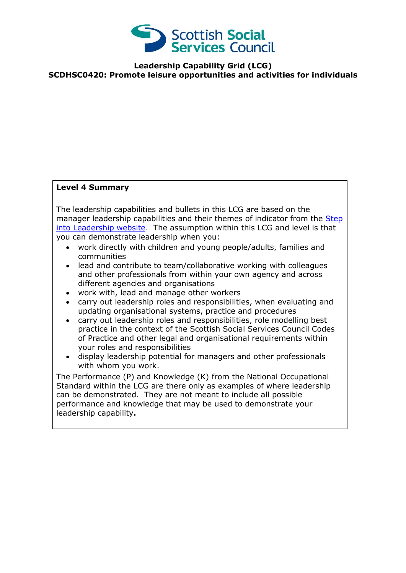

**Leadership Capability Grid (LCG) SCDHSC0420: Promote leisure opportunities and activities for individuals**

## **Level 4 Summary**

The leadership capabilities and bullets in this LCG are based on the manager leadership capabilities and their themes of indicator from the Step [into Leadership website.](http://www.stepintoleadership.info/) The assumption within this LCG and level is that you can demonstrate leadership when you:

- work directly with children and young people/adults, families and communities
- lead and contribute to team/collaborative working with colleagues and other professionals from within your own agency and across different agencies and organisations
- work with, lead and manage other workers
- carry out leadership roles and responsibilities, when evaluating and updating organisational systems, practice and procedures
- carry out leadership roles and responsibilities, role modelling best practice in the context of the Scottish Social Services Council Codes of Practice and other legal and organisational requirements within your roles and responsibilities
- display leadership potential for managers and other professionals with whom you work.

The Performance (P) and Knowledge (K) from the National Occupational Standard within the LCG are there only as examples of where leadership can be demonstrated. They are not meant to include all possible performance and knowledge that may be used to demonstrate your leadership capability**.**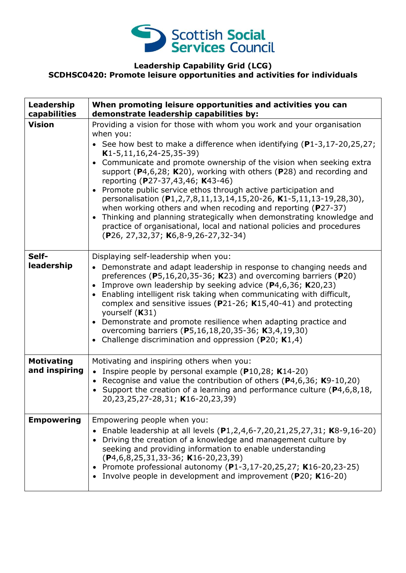

## **Leadership Capability Grid (LCG) SCDHSC0420: Promote leisure opportunities and activities for individuals**

| Leadership<br>capabilities         | When promoting leisure opportunities and activities you can<br>demonstrate leadership capabilities by:                                                                                                                                                                                                                                                                                                                                                                                                                                                                                                                                                                                                                                                                                                                                     |
|------------------------------------|--------------------------------------------------------------------------------------------------------------------------------------------------------------------------------------------------------------------------------------------------------------------------------------------------------------------------------------------------------------------------------------------------------------------------------------------------------------------------------------------------------------------------------------------------------------------------------------------------------------------------------------------------------------------------------------------------------------------------------------------------------------------------------------------------------------------------------------------|
| <b>Vision</b>                      | Providing a vision for those with whom you work and your organisation<br>when you:<br>• See how best to make a difference when identifying $(P1-3, 17-20, 25, 27)$ ;<br>$K1-5, 11, 16, 24-25, 35-39)$<br>Communicate and promote ownership of the vision when seeking extra<br>$\bullet$<br>support ( $P$ 4,6,28; K20), working with others ( $P$ 28) and recording and<br>reporting (P27-37,43,46; K43-46)<br>Promote public service ethos through active participation and<br>$\bullet$<br>personalisation (P1,2,7,8,11,13,14,15,20-26, K1-5,11,13-19,28,30),<br>when working others and when recoding and reporting (P27-37)<br>Thinking and planning strategically when demonstrating knowledge and<br>$\bullet$<br>practice of organisational, local and national policies and procedures<br>(P26, 27, 32, 37; K6, 8-9, 26-27, 32-34) |
| Self-<br>leadership                | Displaying self-leadership when you:<br>• Demonstrate and adapt leadership in response to changing needs and<br>preferences ( $P5,16,20,35-36$ ; K23) and overcoming barriers ( $P20$ )<br>Improve own leadership by seeking advice (P4,6,36; K20,23)<br>$\bullet$<br>Enabling intelligent risk taking when communicating with difficult,<br>$\bullet$<br>complex and sensitive issues ( $P$ 21-26; K15,40-41) and protecting<br>yourself (K31)<br>Demonstrate and promote resilience when adapting practice and<br>$\bullet$<br>overcoming barriers (P5,16,18,20,35-36; K3,4,19,30)<br>Challenge discrimination and oppression ( $P20$ ; K1,4)<br>$\bullet$                                                                                                                                                                               |
| <b>Motivating</b><br>and inspiring | Motivating and inspiring others when you:<br>• Inspire people by personal example ( $P10,28$ ; K14-20)<br>Recognise and value the contribution of others ( $P4,6,36$ ; K9-10,20)<br>$\bullet$<br>• Support the creation of a learning and performance culture ( $P4, 6, 8, 18$ ,<br>20,23,25,27-28,31; K16-20,23,39)                                                                                                                                                                                                                                                                                                                                                                                                                                                                                                                       |
| <b>Empowering</b>                  | Empowering people when you:<br>Enable leadership at all levels (P1,2,4,6-7,20,21,25,27,31; K8-9,16-20)<br>Driving the creation of a knowledge and management culture by<br>seeking and providing information to enable understanding<br>$(P4, 6, 8, 25, 31, 33 - 36; K16 - 20, 23, 39)$<br>Promote professional autonomy (P1-3,17-20,25,27; K16-20,23-25)<br>Involve people in development and improvement (P20; K16-20)                                                                                                                                                                                                                                                                                                                                                                                                                   |